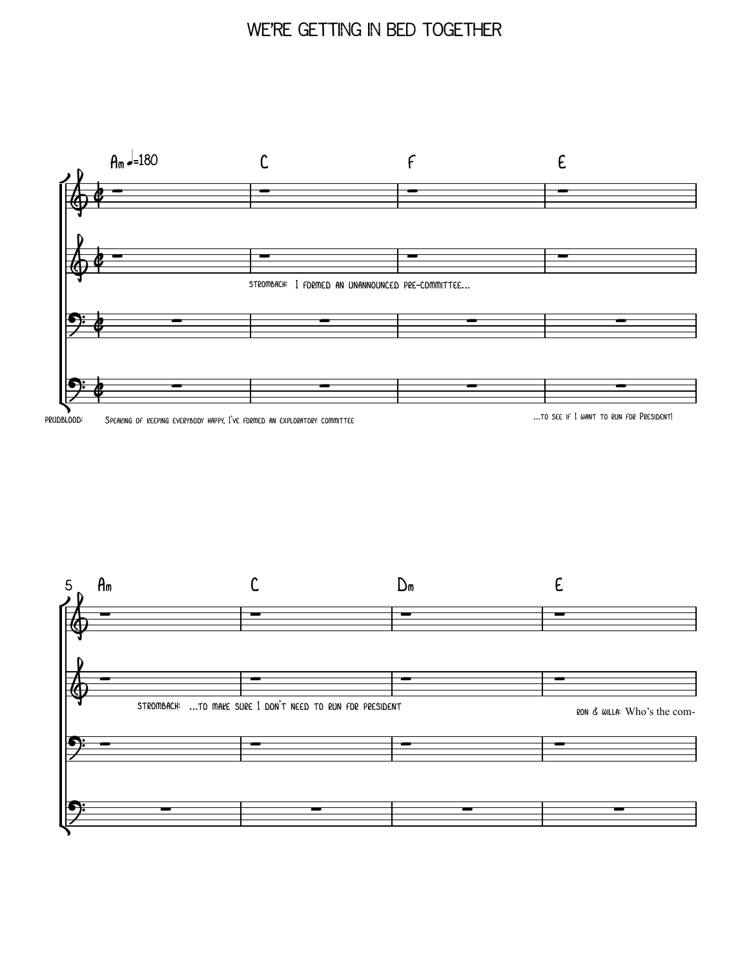# WE'RE GETTING IN BED TOGETHER



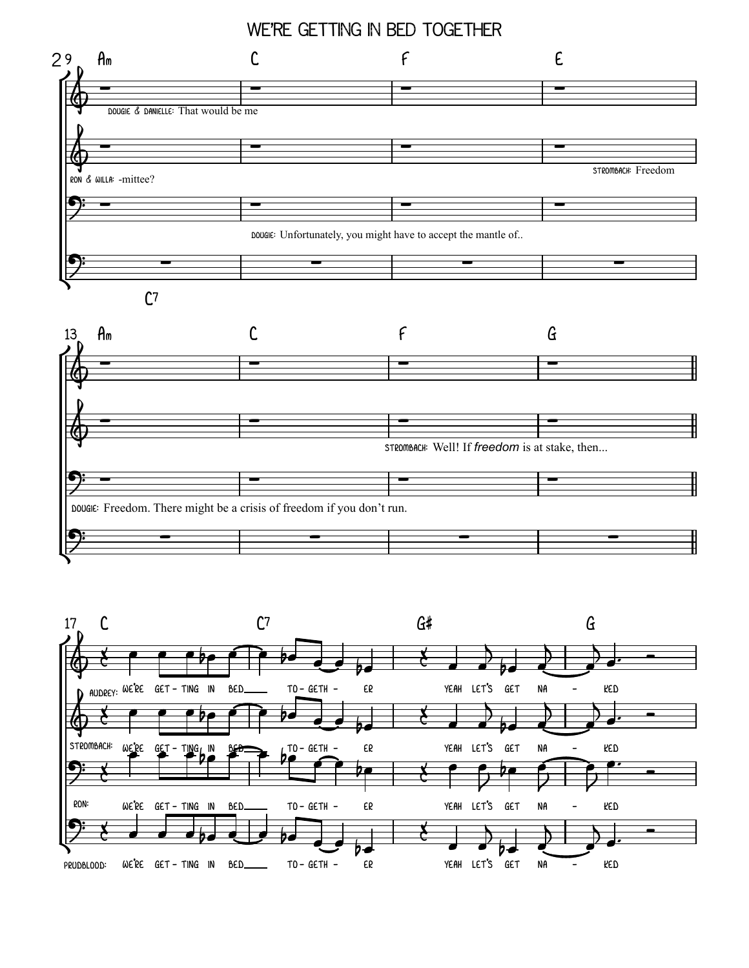

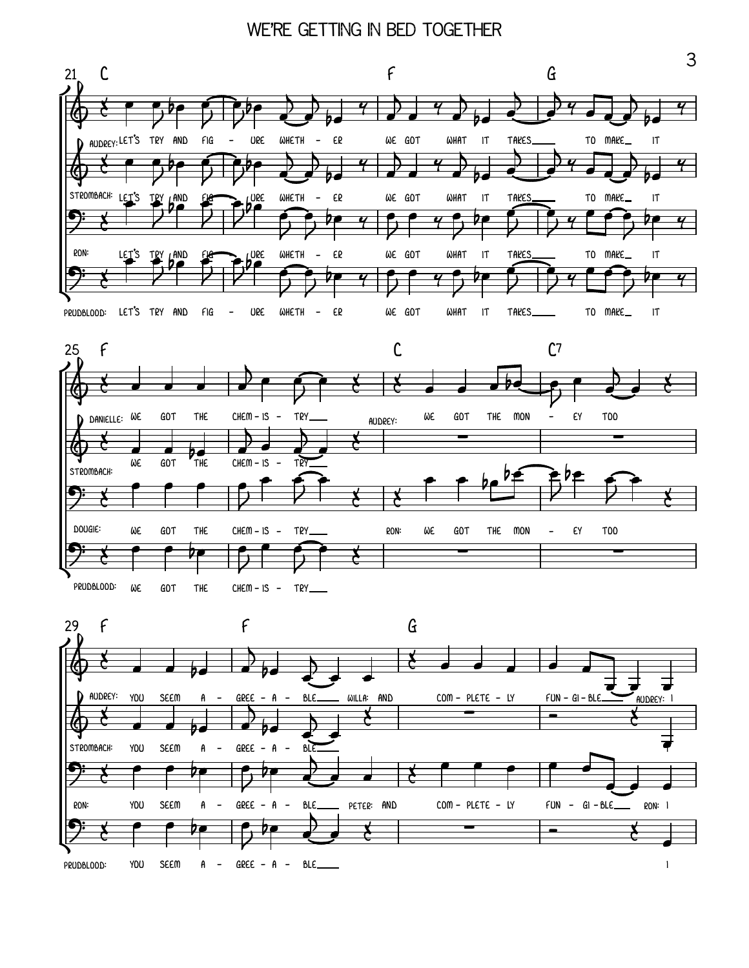





3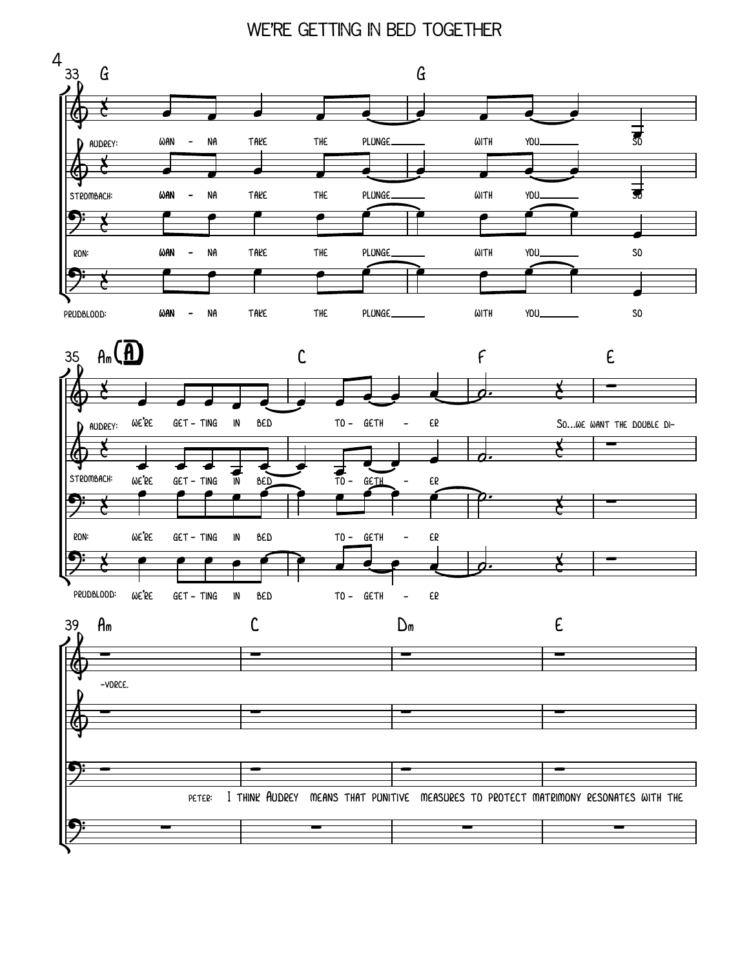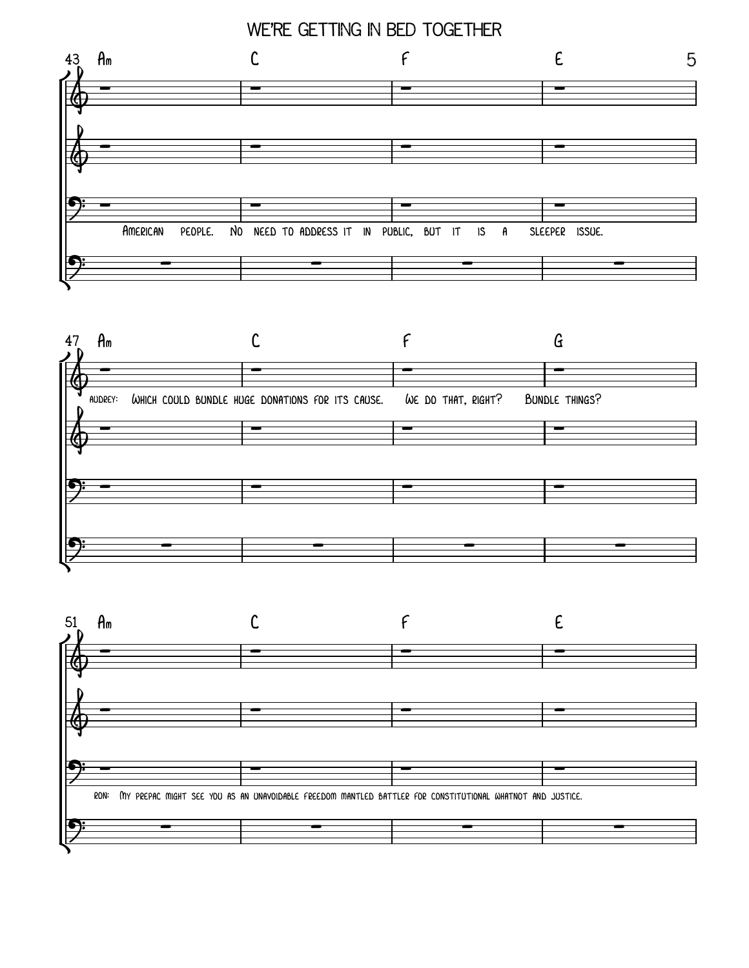### WE'RE GETTING IN BED TOGETHER





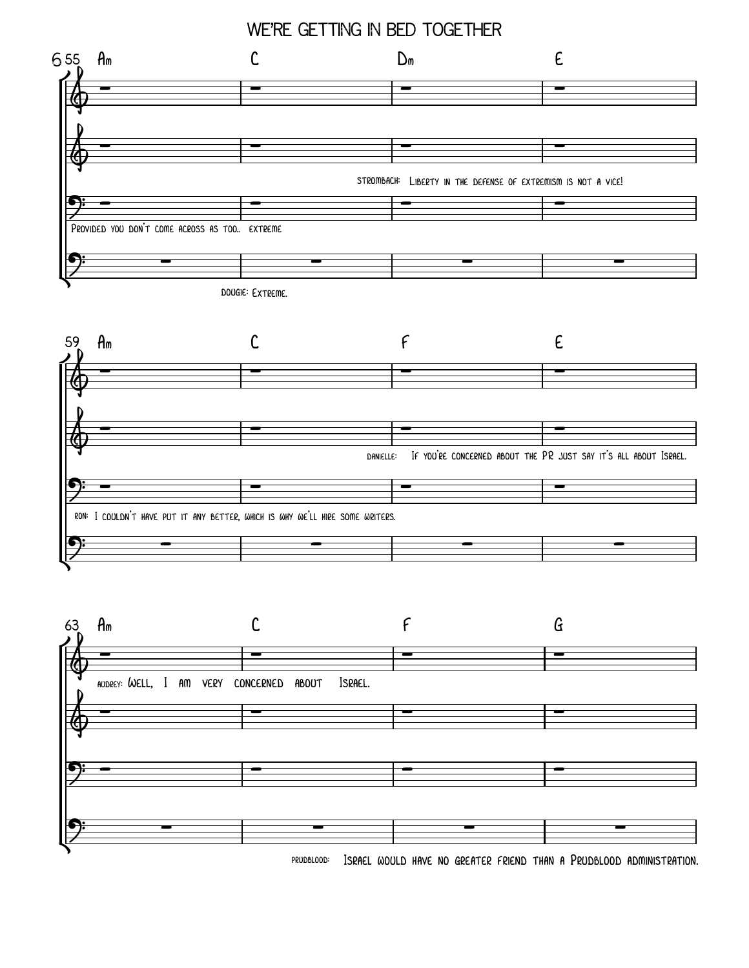# WE'RE GETTING IN BED TOGETHER







ISRAEL WOULD HAVE NO GREATER FRIEND THAN A PRUDBLOOD ADMINISTRATION. PRUDBLOOD: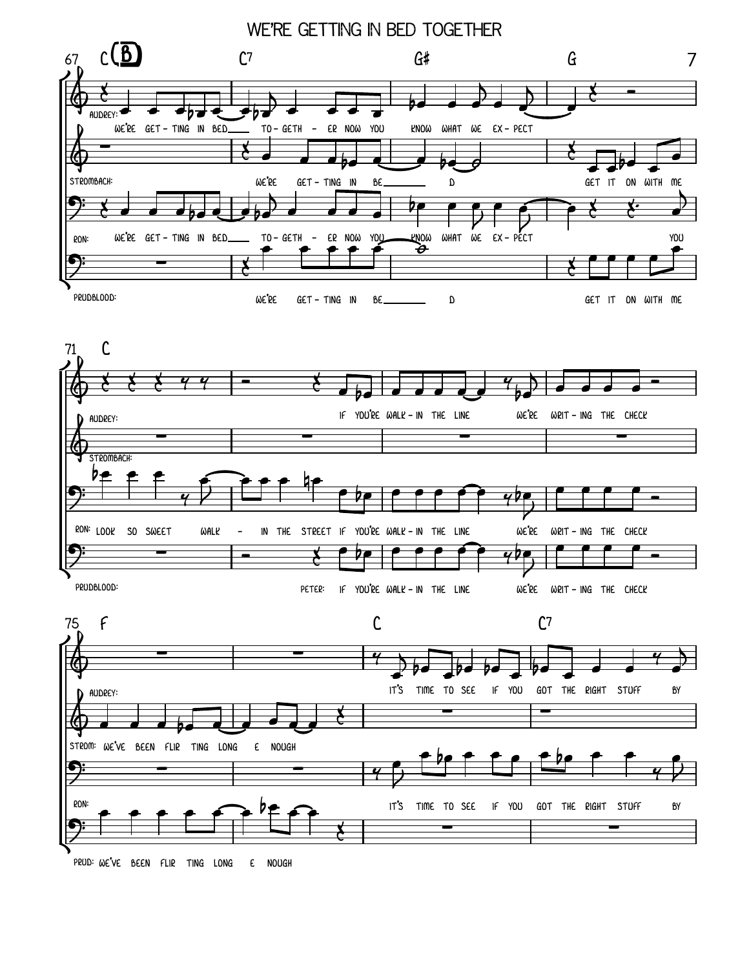



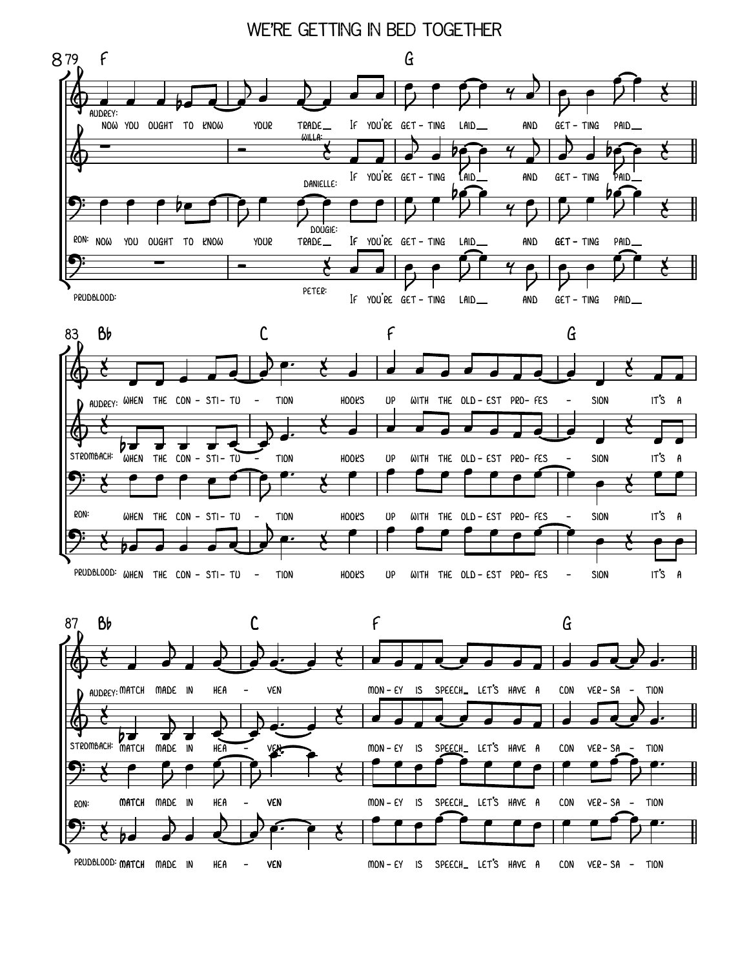



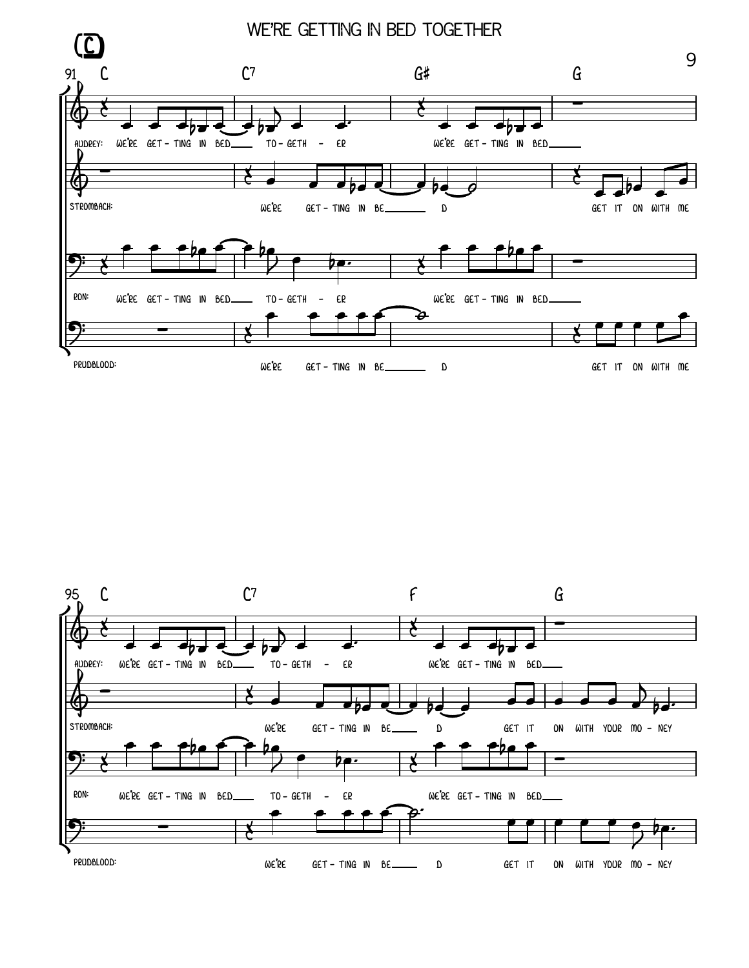